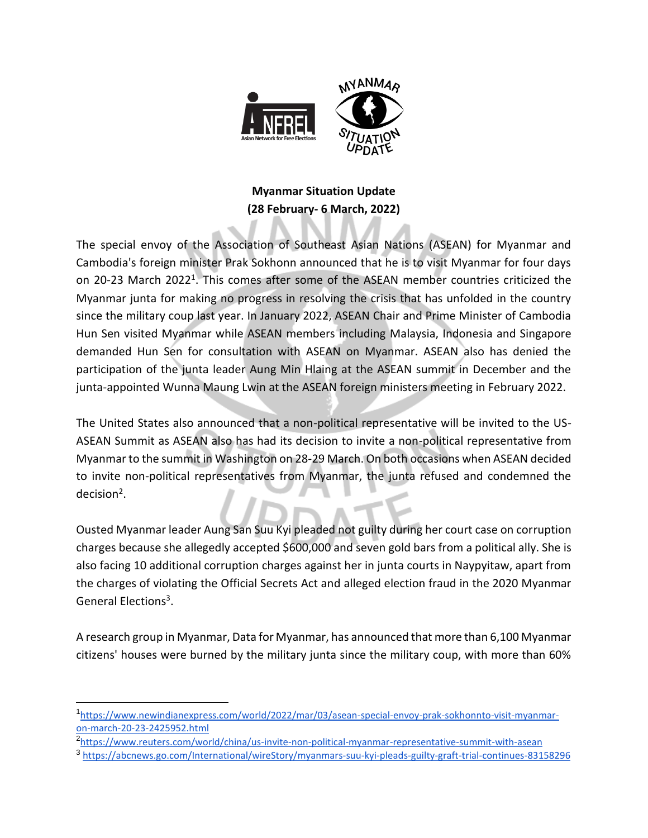

## **Myanmar Situation Update (28 February- 6 March, 2022)**

The special envoy of the Association of Southeast Asian Nations (ASEAN) for Myanmar and Cambodia's foreign minister Prak Sokhonn announced that he is to visit Myanmar for four days on 20-23 March 2022<sup>1</sup>. This comes after some of the ASEAN member countries criticized the Myanmar junta for making no progress in resolving the crisis that has unfolded in the country since the military coup last year. In January 2022, ASEAN Chair and Prime Minister of Cambodia Hun Sen visited Myanmar while ASEAN members including Malaysia, Indonesia and Singapore demanded Hun Sen for consultation with ASEAN on Myanmar. ASEAN also has denied the participation of the junta leader Aung Min Hlaing at the ASEAN summit in December and the junta-appointed Wunna Maung Lwin at the ASEAN foreign ministers meeting in February 2022.

The United States also announced that a non-political representative will be invited to the US-ASEAN Summit as ASEAN also has had its decision to invite a non-political representative from Myanmar to the summit in Washington on 28-29 March. On both occasions when ASEAN decided to invite non-political representatives from Myanmar, the junta refused and condemned the decision<sup>2</sup>.

Ousted Myanmar leader Aung San Suu Kyi pleaded not guilty during her court case on corruption charges because she allegedly accepted \$600,000 and seven gold bars from a political ally. She is also facing 10 additional corruption charges against her in junta courts in Naypyitaw, apart from the charges of violating the Official Secrets Act and alleged election fraud in the 2020 Myanmar General Elections<sup>3</sup>.

A research group in Myanmar, Data for Myanmar, has announced that more than 6,100 Myanmar citizens' houses were burned by the military junta since the military coup, with more than 60%

<sup>1</sup> [https://www.newindianexpress.com/world/2022/mar/03/asean-special-envoy-prak-sokhonnto-visit-myanmar](https://www.newindianexpress.com/world/2022/mar/03/asean-special-envoy-prak-sokhonnto-visit-myanmar-on-march-20-23-2425952.html)[on-march-20-23-2425952.html](https://www.newindianexpress.com/world/2022/mar/03/asean-special-envoy-prak-sokhonnto-visit-myanmar-on-march-20-23-2425952.html)

<sup>2</sup> [https://www.reuters.com/world/china/us-invite-non-political-myanmar-representative-summit-with-asean](https://www.reuters.com/world/china/us-invite-non-political-myanmar-representative-summit-with-asean-2022-03-03/)

<sup>3</sup> <https://abcnews.go.com/International/wireStory/myanmars-suu-kyi-pleads-guilty-graft-trial-continues-83158296>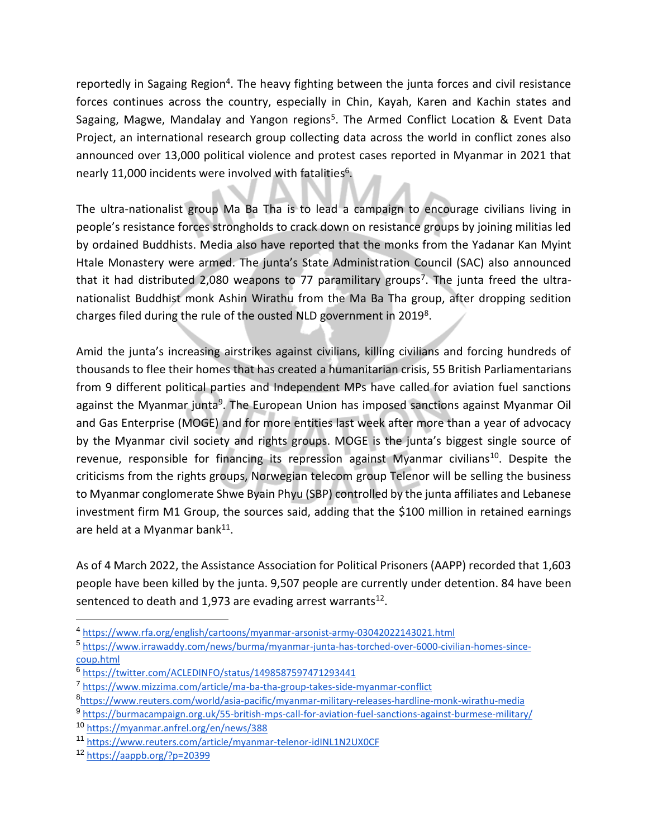reportedly in Sagaing Region<sup>4</sup>. The heavy fighting between the junta forces and civil resistance forces continues across the country, especially in Chin, Kayah, Karen and Kachin states and Sagaing, Magwe, Mandalay and Yangon regions<sup>5</sup>. The Armed Conflict Location & Event Data Project, an international research group collecting data across the world in conflict zones also announced over 13,000 political violence and protest cases reported in Myanmar in 2021 that nearly 11,000 incidents were involved with fatalities 6 .

The ultra-nationalist group Ma Ba Tha is to lead a campaign to encourage civilians living in people's resistance forces strongholds to crack down on resistance groups by joining militias led by ordained Buddhists. Media also have reported that the monks from the Yadanar Kan Myint Htale Monastery were armed. The junta's State Administration Council (SAC) also announced that it had distributed 2,080 weapons to 77 paramilitary groups<sup>7</sup>. The junta freed the ultranationalist Buddhist monk Ashin Wirathu from the Ma Ba Tha group, after dropping sedition charges filed during the rule of the ousted NLD government in 2019<sup>8</sup>.

Amid the junta's increasing airstrikes against civilians, killing civilians and forcing hundreds of thousands to flee their homes that has created a humanitarian crisis, 55 British Parliamentarians from 9 different political parties and Independent MPs have called for aviation fuel sanctions against the Myanmar junta<sup>9</sup>. The European Union has imposed sanctions against Myanmar Oil and Gas Enterprise (MOGE) and for more entities last week after more than a year of advocacy by the Myanmar civil society and rights groups. MOGE is the junta's biggest single source of revenue, responsible for financing its repression against Myanmar civilians<sup>10</sup>. Despite the criticisms from the rights groups, Norwegian telecom group Telenor will be selling the business to Myanmar conglomerate Shwe Byain Phyu (SBP) controlled by the junta affiliates and Lebanese investment firm M1 Group, the sources said, adding that the \$100 million in retained earnings are held at a Myanmar bank $^{11}$ .

As of 4 March 2022, the Assistance Association for Political Prisoners (AAPP) recorded that 1,603 people have been killed by the junta. 9,507 people are currently under detention. 84 have been sentenced to death and 1,973 are evading arrest warrants<sup>12</sup>.

<sup>4</sup> <https://www.rfa.org/english/cartoons/myanmar-arsonist-army-03042022143021.html>

<sup>5</sup> [https://www.irrawaddy.com/news/burma/myanmar-junta-has-torched-over-6000-civilian-homes-since](https://www.irrawaddy.com/news/burma/myanmar-junta-has-torched-over-6000-civilian-homes-since-coup.html)[coup.html](https://www.irrawaddy.com/news/burma/myanmar-junta-has-torched-over-6000-civilian-homes-since-coup.html)

<sup>6</sup> <https://twitter.com/ACLEDINFO/status/1498587597471293441>

<sup>7</sup> <https://www.mizzima.com/article/ma-ba-tha-group-takes-side-myanmar-conflict>

<sup>8</sup> [https://www.reuters.com/world/asia-pacific/myanmar-military-releases-hardline-monk-wirathu-media](https://www.reuters.com/world/asia-pacific/myanmar-military-releases-hardline-monk-wirathu-media-2021-09-07/)

<sup>9</sup> <https://burmacampaign.org.uk/55-british-mps-call-for-aviation-fuel-sanctions-against-burmese-military/>

<sup>10</sup> <https://myanmar.anfrel.org/en/news/388>

<sup>11</sup> <https://www.reuters.com/article/myanmar-telenor-idINL1N2UX0CF>

<sup>12</sup> <https://aappb.org/?p=20399>